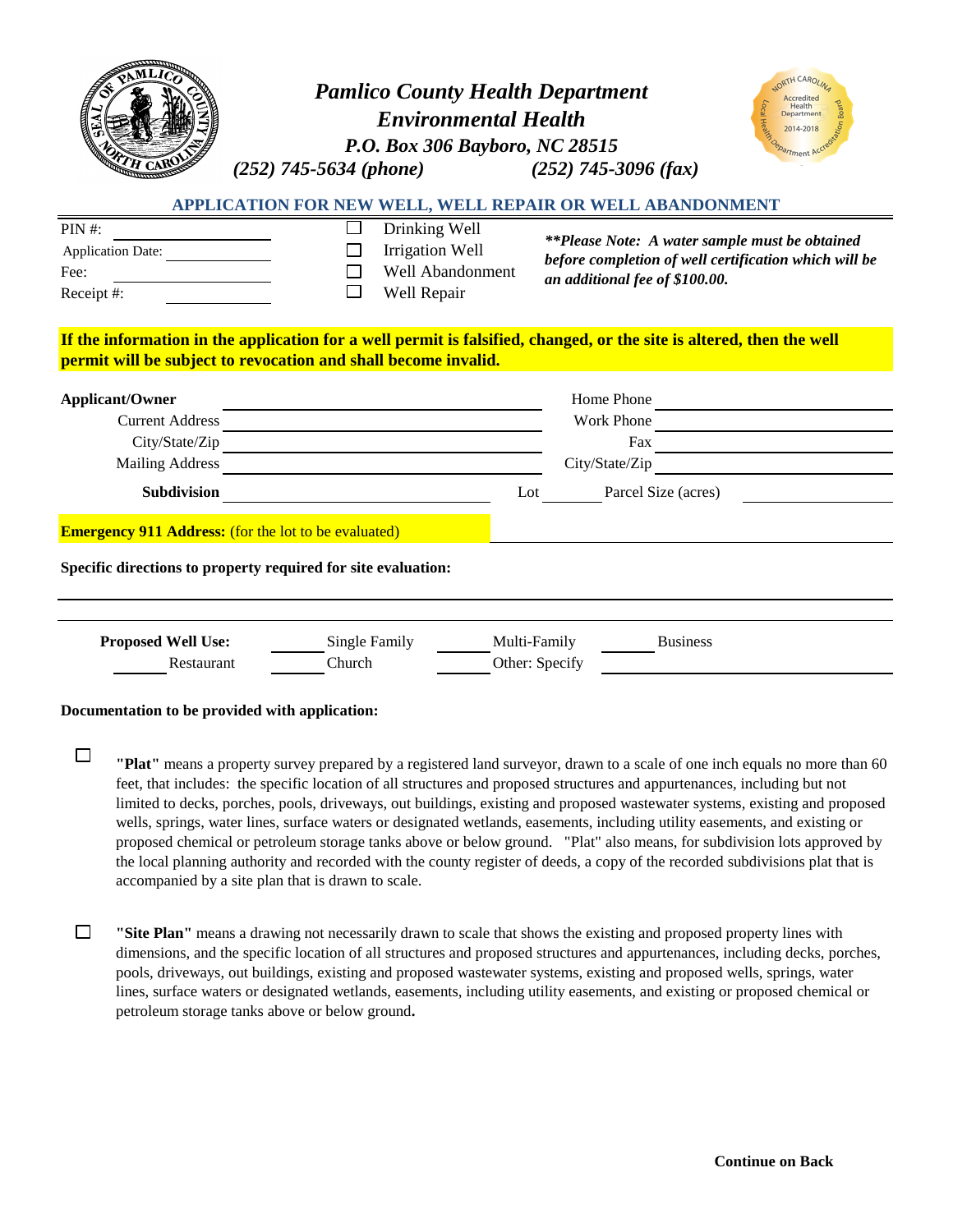|                                                                                                                              | <b>Pamlico County Health Department</b><br><b>Environmental Health</b><br>P.O. Box 306 Bayboro, NC 28515<br>$(252)$ 745-5634 (phone) | $(252)$ 745-3096 (fax)                                                                                                                                                                                                                                                                                                                                                                                                                                                                                                                                                                                                                                                                                                                                                            | Departmen<br>2014-2018<br>rtment           |  |
|------------------------------------------------------------------------------------------------------------------------------|--------------------------------------------------------------------------------------------------------------------------------------|-----------------------------------------------------------------------------------------------------------------------------------------------------------------------------------------------------------------------------------------------------------------------------------------------------------------------------------------------------------------------------------------------------------------------------------------------------------------------------------------------------------------------------------------------------------------------------------------------------------------------------------------------------------------------------------------------------------------------------------------------------------------------------------|--------------------------------------------|--|
| <b>PIN#:</b><br>Application Date:<br>Fee:<br>Receipt #:                                                                      | Drinking Well<br><b>Irrigation Well</b><br>Well Abandonment<br>Well Repair                                                           | APPLICATION FOR NEW WELL, WELL REPAIR OR WELL ABANDONMENT<br><i>**Please Note: A water sample must be obtained</i><br>before completion of well certification which will be<br>an additional fee of \$100.00.                                                                                                                                                                                                                                                                                                                                                                                                                                                                                                                                                                     |                                            |  |
|                                                                                                                              | permit will be subject to revocation and shall become invalid.                                                                       | If the information in the application for a well permit is falsified, changed, or the site is altered, then the well                                                                                                                                                                                                                                                                                                                                                                                                                                                                                                                                                                                                                                                              |                                            |  |
| <b>Applicant/Owner</b><br><b>Current Address</b><br><b>Mailing Address</b>                                                   | City/State/Zip<br>Subdivision <b>Subdivision</b>                                                                                     | Parcel Size (acres)<br>Lot                                                                                                                                                                                                                                                                                                                                                                                                                                                                                                                                                                                                                                                                                                                                                        | Home Phone<br>Work Phone<br>City/State/Zip |  |
| <b>Emergency 911 Address:</b> (for the lot to be evaluated)<br>Specific directions to property required for site evaluation: |                                                                                                                                      |                                                                                                                                                                                                                                                                                                                                                                                                                                                                                                                                                                                                                                                                                                                                                                                   |                                            |  |
|                                                                                                                              |                                                                                                                                      |                                                                                                                                                                                                                                                                                                                                                                                                                                                                                                                                                                                                                                                                                                                                                                                   |                                            |  |
| <b>Proposed Well Use:</b><br>Restaurant                                                                                      | Single Family<br>Church                                                                                                              | Multi-Family<br><b>Business</b><br>Other: Specify                                                                                                                                                                                                                                                                                                                                                                                                                                                                                                                                                                                                                                                                                                                                 |                                            |  |
| Documentation to be provided with application:                                                                               |                                                                                                                                      |                                                                                                                                                                                                                                                                                                                                                                                                                                                                                                                                                                                                                                                                                                                                                                                   |                                            |  |
| $\Box$                                                                                                                       | accompanied by a site plan that is drawn to scale.                                                                                   | "Plat" means a property survey prepared by a registered land surveyor, drawn to a scale of one inch equals no more than 60<br>feet, that includes: the specific location of all structures and proposed structures and appurtenances, including but not<br>limited to decks, porches, pools, driveways, out buildings, existing and proposed wastewater systems, existing and proposed<br>wells, springs, water lines, surface waters or designated wetlands, easements, including utility easements, and existing or<br>proposed chemical or petroleum storage tanks above or below ground. "Plat" also means, for subdivision lots approved by<br>the local planning authority and recorded with the county register of deeds, a copy of the recorded subdivisions plat that is |                                            |  |

 $\Box$ **"Site Plan"** means a drawing not necessarily drawn to scale that shows the existing and proposed property lines with dimensions, and the specific location of all structures and proposed structures and appurtenances, including decks, porches, pools, driveways, out buildings, existing and proposed wastewater systems, existing and proposed wells, springs, water lines, surface waters or designated wetlands, easements, including utility easements, and existing or proposed chemical or petroleum storage tanks above or below ground**.**